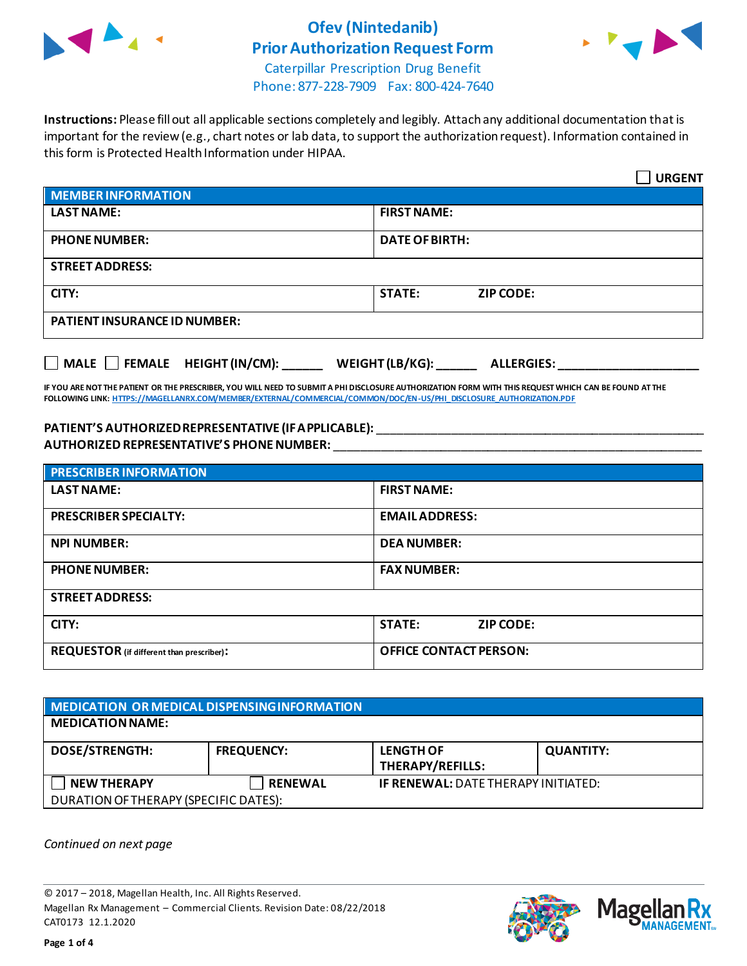

### **Ofev (Nintedanib) Prior Authorization Request Form**



Caterpillar Prescription Drug Benefit Phone: 877-228-7909 Fax: 800-424-7640

**Instructions:** Please fill out all applicable sections completely and legibly. Attach any additional documentation that is important for the review (e.g., chart notes or lab data, to support the authorization request). Information contained in this form is Protected Health Information under HIPAA.

|                                                                                   | <b>URGENT</b>                     |  |  |  |
|-----------------------------------------------------------------------------------|-----------------------------------|--|--|--|
| <b>MEMBER INFORMATION</b>                                                         |                                   |  |  |  |
| <b>LAST NAME:</b>                                                                 | <b>FIRST NAME:</b>                |  |  |  |
| <b>PHONE NUMBER:</b>                                                              | <b>DATE OF BIRTH:</b>             |  |  |  |
| <b>STREET ADDRESS:</b>                                                            |                                   |  |  |  |
| CITY:                                                                             | <b>STATE:</b><br><b>ZIP CODE:</b> |  |  |  |
| <b>PATIENT INSURANCE ID NUMBER:</b>                                               |                                   |  |  |  |
| $\Box$ MALE $\Box$ FEMALE HEIGHT (IN/CM):<br>WEIGHT (LB/KG):<br><b>ALLERGIES:</b> |                                   |  |  |  |

**IF YOU ARE NOT THE PATIENT OR THE PRESCRIBER, YOU WILL NEED TO SUBMIT A PHI DISCLOSURE AUTHORIZATION FORM WITH THIS REQUEST WHICH CAN BE FOUND AT THE FOLLOWING LINK[: HTTPS://MAGELLANRX.COM/MEMBER/EXTERNAL/COMMERCIAL/COMMON/DOC/EN-US/PHI\\_DISCLOSURE\\_AUTHORIZATION.PDF](https://magellanrx.com/member/external/commercial/common/doc/en-us/PHI_Disclosure_Authorization.pdf)**

#### **PATIENT'S AUTHORIZED REPRESENTATIVE (IF APPLICABLE):** \_\_\_\_\_\_\_\_\_\_\_\_\_\_\_\_\_\_\_\_\_\_\_\_\_\_\_\_\_\_\_\_\_\_\_\_\_\_\_\_\_\_\_\_\_\_\_\_\_ **AUTHORIZED REPRESENTATIVE'S PHONE NUMBER:** \_\_\_\_\_\_\_\_\_\_\_\_\_\_\_\_\_\_\_\_\_\_\_\_\_\_\_\_\_\_\_\_\_\_\_\_\_\_\_\_\_\_\_\_\_\_\_\_\_\_\_\_\_\_\_

| <b>PRESCRIBER INFORMATION</b>             |                               |  |  |
|-------------------------------------------|-------------------------------|--|--|
| <b>LAST NAME:</b>                         | <b>FIRST NAME:</b>            |  |  |
| <b>PRESCRIBER SPECIALTY:</b>              | <b>EMAIL ADDRESS:</b>         |  |  |
| <b>NPI NUMBER:</b>                        | <b>DEA NUMBER:</b>            |  |  |
| <b>PHONE NUMBER:</b>                      | <b>FAX NUMBER:</b>            |  |  |
| <b>STREET ADDRESS:</b>                    |                               |  |  |
| CITY:                                     | <b>STATE:</b><br>ZIP CODE:    |  |  |
| REQUESTOR (if different than prescriber): | <b>OFFICE CONTACT PERSON:</b> |  |  |

| MEDICATION OR MEDICAL DISPENSING INFORMATION |                   |                                             |                  |  |  |
|----------------------------------------------|-------------------|---------------------------------------------|------------------|--|--|
| <b>MEDICATION NAME:</b>                      |                   |                                             |                  |  |  |
| <b>DOSE/STRENGTH:</b>                        | <b>FREQUENCY:</b> | <b>LENGTH OF</b><br><b>THERAPY/REFILLS:</b> | <b>QUANTITY:</b> |  |  |
| <b>NEW THERAPY</b>                           | <b>RENEWAL</b>    | <b>IF RENEWAL: DATE THERAPY INITIATED:</b>  |                  |  |  |
| DURATION OF THERAPY (SPECIFIC DATES):        |                   |                                             |                  |  |  |

*Continued on next page*

© 2017 – 2018, Magellan Health, Inc. All Rights Reserved. Magellan Rx Management – Commercial Clients. Revision Date: 08/22/2018 CAT0173 12.1.2020



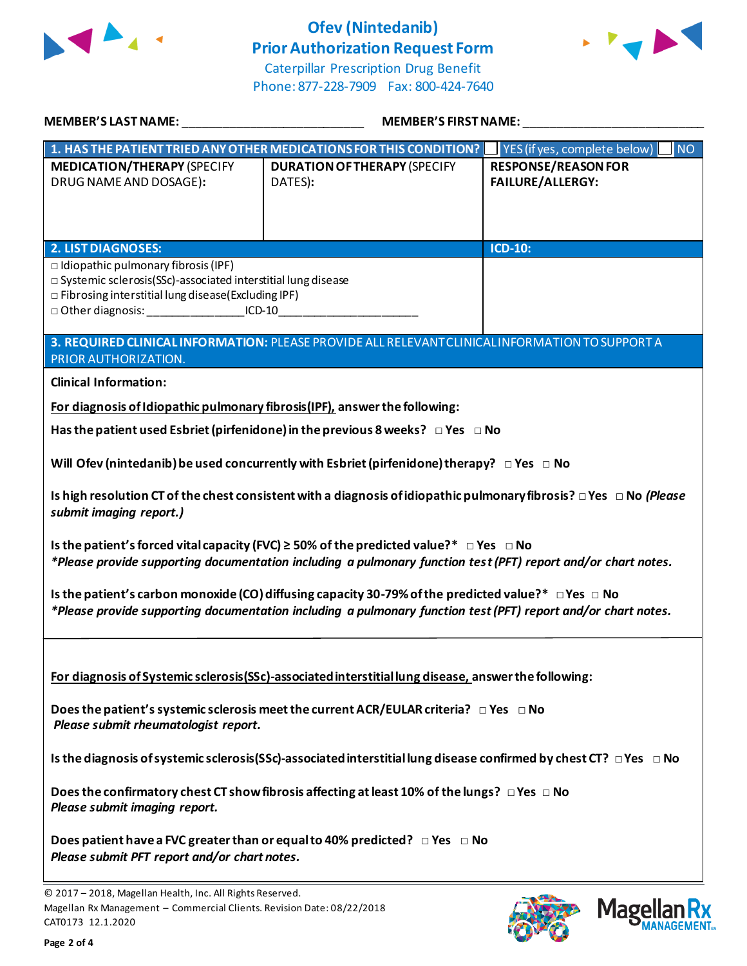

## **Ofev (Nintedanib) Prior Authorization Request Form**



Caterpillar Prescription Drug Benefit Phone: 877-228-7909 Fax: 800-424-7640

| MEMBER'S LAST NAME: WARD AND THE MANUSCRIPT OF THE STATE OF THE STATE OF THE STATE OF THE STATE OF THE STATE O                                                                                                                                                                                                                                                                                                                            | <b>MEMBER'S FIRST NAME:</b>                                                              |                                                       |  |  |
|-------------------------------------------------------------------------------------------------------------------------------------------------------------------------------------------------------------------------------------------------------------------------------------------------------------------------------------------------------------------------------------------------------------------------------------------|------------------------------------------------------------------------------------------|-------------------------------------------------------|--|--|
| 1. HAS THE PATIENT TRIED ANY OTHER MEDICATIONS FOR THIS CONDITION?                                                                                                                                                                                                                                                                                                                                                                        |                                                                                          | <b>NO</b><br>YES (if yes, complete below)             |  |  |
| <b>MEDICATION/THERAPY (SPECIFY</b><br>DRUG NAME AND DOSAGE):                                                                                                                                                                                                                                                                                                                                                                              | <b>DURATION OF THERAPY (SPECIFY</b><br>DATES):                                           | <b>RESPONSE/REASON FOR</b><br><b>FAILURE/ALLERGY:</b> |  |  |
|                                                                                                                                                                                                                                                                                                                                                                                                                                           |                                                                                          |                                                       |  |  |
| <b>ICD-10:</b><br><b>2. LIST DIAGNOSES:</b><br>$\Box$ Idiopathic pulmonary fibrosis (IPF)<br>$\square$ Systemic sclerosis(SSc)-associated interstitial lung disease<br>□ Fibrosing interstitial lung disease(Excluding IPF)<br>□ Other diagnosis: ____________________ICD-10__________________________________<br>3. REQUIRED CLINICAL INFORMATION: PLEASE PROVIDE ALL RELEVANT CLINICAL INFORMATION TO SUPPORT A<br>PRIOR AUTHORIZATION. |                                                                                          |                                                       |  |  |
|                                                                                                                                                                                                                                                                                                                                                                                                                                           |                                                                                          |                                                       |  |  |
| <b>Clinical Information:</b>                                                                                                                                                                                                                                                                                                                                                                                                              |                                                                                          |                                                       |  |  |
| For diagnosis of Idiopathic pulmonary fibrosis (IPF), answer the following:                                                                                                                                                                                                                                                                                                                                                               |                                                                                          |                                                       |  |  |
|                                                                                                                                                                                                                                                                                                                                                                                                                                           | Has the patient used Esbriet (pirfenidone) in the previous 8 weeks? $\Box$ Yes $\Box$ No |                                                       |  |  |
| Will Ofev (nintedanib) be used concurrently with Esbriet (pirfenidone) therapy? $\Box$ Yes $\Box$ No<br>Is high resolution CT of the chest consistent with a diagnosis of idiopathic pulmonary fibrosis? $\Box$ Yes $\Box$ No (Please<br>submit imaging report.)                                                                                                                                                                          |                                                                                          |                                                       |  |  |
| Is the patient's forced vital capacity (FVC) $\geq$ 50% of the predicted value?* $\Box$ Yes $\Box$ No<br>*Please provide supporting documentation including a pulmonary function test (PFT) report and/or chart notes.                                                                                                                                                                                                                    |                                                                                          |                                                       |  |  |
| Is the patient's carbon monoxide (CO) diffusing capacity 30-79% of the predicted value?* $\Box$ Yes $\Box$ No<br>*Please provide supporting documentation including a pulmonary function test (PFT) report and/or chart notes.                                                                                                                                                                                                            |                                                                                          |                                                       |  |  |
| For diagnosis of Systemic sclerosis (SSc)-associated interstitial lung disease, answer the following:<br>Does the patient's systemic sclerosis meet the current ACR/EULAR criteria? $\Box$ Yes $\Box$ No<br>Please submit rheumatologist report.                                                                                                                                                                                          |                                                                                          |                                                       |  |  |
| Is the diagnosis of systemic sclerosis (SSc)-associated interstitial lung disease confirmed by chest CT? $\Box$ Yes $\Box$ No                                                                                                                                                                                                                                                                                                             |                                                                                          |                                                       |  |  |
| Does the confirmatory chest CT show fibrosis affecting at least 10% of the lungs? $\Box$ Yes $\Box$ No<br>Please submit imaging report.                                                                                                                                                                                                                                                                                                   |                                                                                          |                                                       |  |  |
| Does patient have a FVC greater than or equal to 40% predicted? $\Box$ Yes $\Box$ No<br>Please submit PFT report and/or chart notes.                                                                                                                                                                                                                                                                                                      |                                                                                          |                                                       |  |  |
|                                                                                                                                                                                                                                                                                                                                                                                                                                           |                                                                                          |                                                       |  |  |



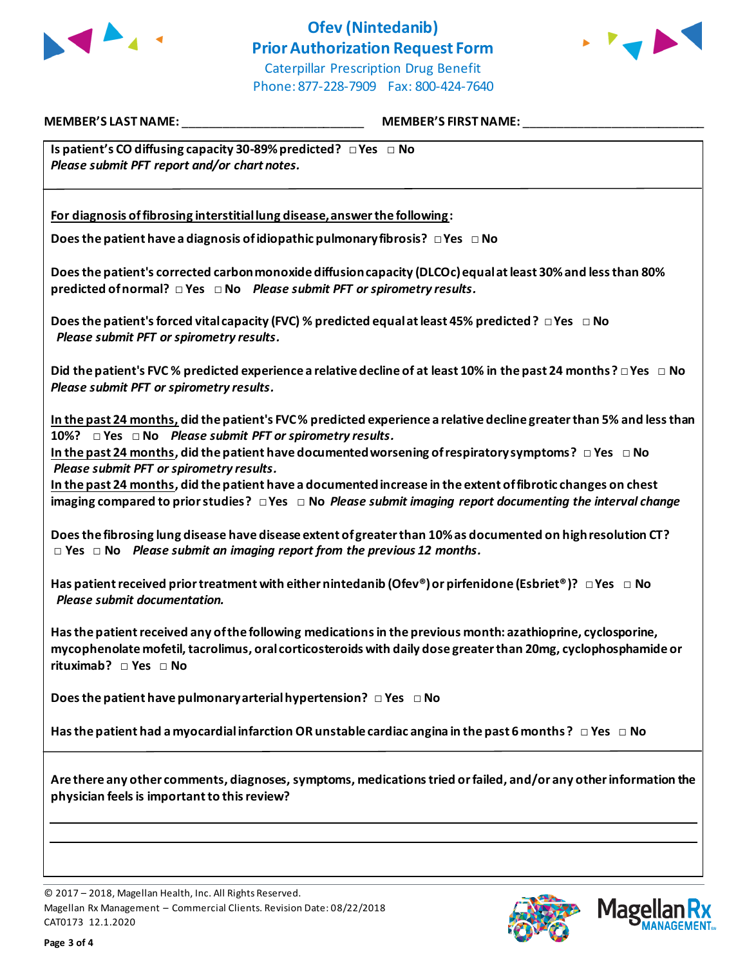

# **Ofev (Nintedanib) Prior Authorization Request Form**



Caterpillar Prescription Drug Benefit Phone: 877-228-7909 Fax: 800-424-7640

**MEMBER'S LAST NAME:** \_\_\_\_\_\_\_\_\_\_\_\_\_\_\_\_\_\_\_\_\_\_\_\_\_\_\_ **MEMBER'S FIRST NAME:** \_\_\_\_\_\_\_\_\_\_\_\_\_\_\_\_\_\_\_\_\_\_\_\_\_\_\_

**Is patient's CO diffusing capacity 30-89% predicted? □ Yes □ No**  *Please submit PFT report and/or chart notes.*

**For diagnosis of fibrosing interstitial lung disease, answer the following:**

**Does the patient have a diagnosis of idiopathic pulmonary fibrosis? □ Yes □ No** 

**Does the patient's corrected carbon monoxide diffusion capacity (DLCOc) equal at least 30% and less than 80% predicted of normal? □ Yes □ No** *Please submit PFT or spirometry results.*

**Does the patient's forced vital capacity (FVC) % predicted equal at least 45% predicted? □ Yes □ No**  *Please submit PFT or spirometry results.*

**Did the patient's FVC % predicted experience a relative decline of at least 10% in the past 24 months? □ Yes □ No**  *Please submit PFT or spirometry results.*

**In the past 24 months, did the patient's FVC % predicted experience a relative decline greater than 5% and less than 10%? □ Yes □ No** *Please submit PFT or spirometry results.*

**In the past 24 months, did the patient have documented worsening of respiratory symptoms? □ Yes □ No** *Please submit PFT or spirometry results.*

**In the past 24 months, did the patient have a documentedincrease in the extent of fibrotic changes on chest imaging compared to prior studies? □ Yes □ No** *Please submit imaging report documenting the interval change*

**Doesthe fibrosing lung disease have disease extent of greater than 10%as documented on high resolution CT? □ Yes □ No** *Please submit an imaging report from the previous 12 months.*

**Has patient received prior treatment with either nintedanib (Ofev®) or pirfenidone (Esbriet®)? □ Yes □ No** *Please submit documentation.*

Has the patient received any of the following medications in the previous month: azathioprine, cyclosporine, **mycophenolate mofetil, tacrolimus, oral corticosteroids with daily dose greater than 20mg, cyclophosphamide or rituximab? □ Yes □ No** 

**Does the patient have pulmonary arterial hypertension? □ Yes □ No** 

**Has the patient had a myocardial infarction OR unstable cardiac angina in the past 6 months ? □ Yes □ No** 

**Are there any other comments, diagnoses, symptoms, medications tried or failed, and/or any other information the physician feels is important to this review?**